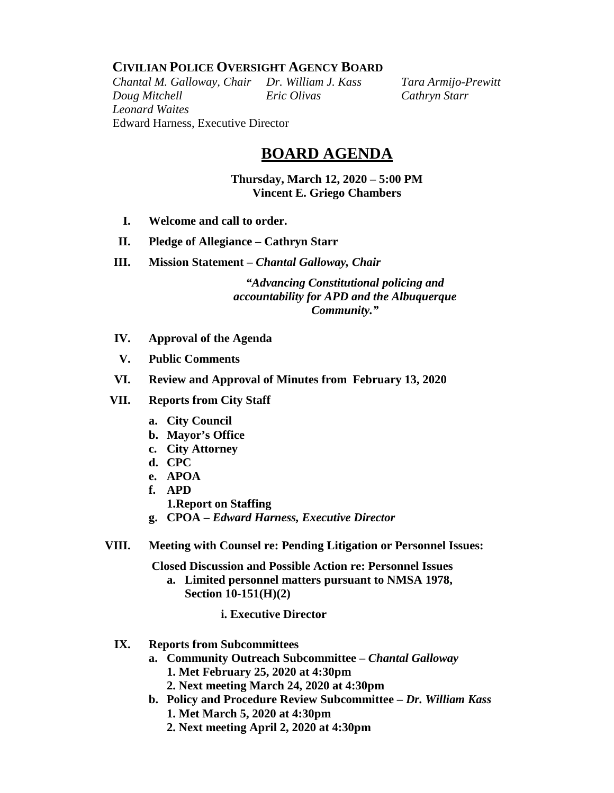## **CIVILIAN POLICE OVERSIGHT AGENCY BOARD**

*Chantal M. Galloway, Chair Dr. William J. Kass Tara Armijo-Prewitt Doug Mitchell Eric Olivas Cathryn Starr Leonard Waites* Edward Harness, Executive Director

## **BOARD AGENDA**

**Thursday, March 12, 2020 – 5:00 PM Vincent E. Griego Chambers**

- **I. Welcome and call to order.**
- **II. Pledge of Allegiance – Cathryn Starr**
- **III. Mission Statement –** *Chantal Galloway, Chair*

*"Advancing Constitutional policing and accountability for APD and the Albuquerque Community."*

- **IV. Approval of the Agenda**
- **V. Public Comments**
- **VI. Review and Approval of Minutes from February 13, 2020**
- **VII. Reports from City Staff**
	- **a. City Council**
	- **b. Mayor's Office**
	- **c. City Attorney**
	- **d. CPC**
	- **e. APOA**
	- **f. APD**
		- **1.Report on Staffing**
	- **g. CPOA –** *Edward Harness, Executive Director*
- **VIII. Meeting with Counsel re: Pending Litigation or Personnel Issues:**

**Closed Discussion and Possible Action re: Personnel Issues** 

- **a. Limited personnel matters pursuant to NMSA 1978, Section 10-151(H)(2)** 
	- **i. Executive Director**
- **IX. Reports from Subcommittees**
	- **a. Community Outreach Subcommittee –** *Chantal Galloway* **1. Met February 25, 2020 at 4:30pm**
		- **2. Next meeting March 24, 2020 at 4:30pm**
	- **b. Policy and Procedure Review Subcommittee –** *Dr. William Kass* **1. Met March 5, 2020 at 4:30pm**
		- **2. Next meeting April 2, 2020 at 4:30pm**